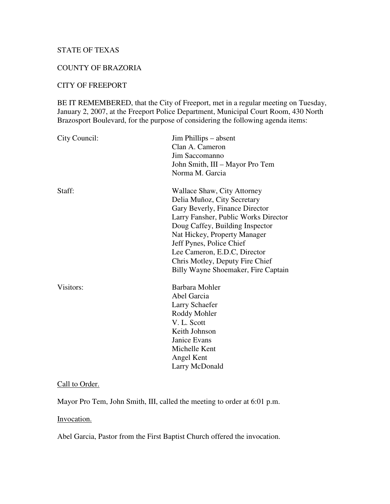# STATE OF TEXAS

#### COUNTY OF BRAZORIA

# CITY OF FREEPORT

BE IT REMEMBERED, that the City of Freeport, met in a regular meeting on Tuesday, January 2, 2007, at the Freeport Police Department, Municipal Court Room, 430 North Brazosport Boulevard, for the purpose of considering the following agenda items:

| City Council: | Jim Phillips – absent<br>Clan A. Cameron<br>Jim Saccomanno<br>John Smith, III – Mayor Pro Tem<br>Norma M. Garcia                                                                                                                                                                                                                              |
|---------------|-----------------------------------------------------------------------------------------------------------------------------------------------------------------------------------------------------------------------------------------------------------------------------------------------------------------------------------------------|
| Staff:        | Wallace Shaw, City Attorney<br>Delia Muñoz, City Secretary<br>Gary Beverly, Finance Director<br>Larry Fansher, Public Works Director<br>Doug Caffey, Building Inspector<br>Nat Hickey, Property Manager<br>Jeff Pynes, Police Chief<br>Lee Cameron, E.D.C, Director<br>Chris Motley, Deputy Fire Chief<br>Billy Wayne Shoemaker, Fire Captain |
| Visitors:     | Barbara Mohler<br>Abel Garcia<br>Larry Schaefer<br>Roddy Mohler<br>V. L. Scott<br>Keith Johnson<br><b>Janice Evans</b><br>Michelle Kent<br>Angel Kent<br>Larry McDonald                                                                                                                                                                       |

### Call to Order.

Mayor Pro Tem, John Smith, III, called the meeting to order at 6:01 p.m.

Invocation.

Abel Garcia, Pastor from the First Baptist Church offered the invocation.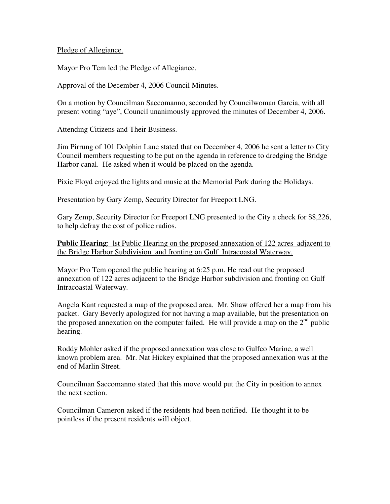#### Pledge of Allegiance.

Mayor Pro Tem led the Pledge of Allegiance.

### Approval of the December 4, 2006 Council Minutes.

On a motion by Councilman Saccomanno, seconded by Councilwoman Garcia, with all present voting "aye", Council unanimously approved the minutes of December 4, 2006.

### Attending Citizens and Their Business.

Jim Pirrung of 101 Dolphin Lane stated that on December 4, 2006 he sent a letter to City Council members requesting to be put on the agenda in reference to dredging the Bridge Harbor canal. He asked when it would be placed on the agenda.

Pixie Floyd enjoyed the lights and music at the Memorial Park during the Holidays.

# Presentation by Gary Zemp, Security Director for Freeport LNG.

Gary Zemp, Security Director for Freeport LNG presented to the City a check for \$8,226, to help defray the cost of police radios.

# **Public Hearing**: lst Public Hearing on the proposed annexation of 122 acres adjacent to the Bridge Harbor Subdivision and fronting on Gulf Intracoastal Waterway.

Mayor Pro Tem opened the public hearing at 6:25 p.m. He read out the proposed annexation of 122 acres adjacent to the Bridge Harbor subdivision and fronting on Gulf Intracoastal Waterway.

Angela Kant requested a map of the proposed area. Mr. Shaw offered her a map from his packet. Gary Beverly apologized for not having a map available, but the presentation on the proposed annexation on the computer failed. He will provide a map on the  $2<sup>nd</sup>$  public hearing.

Roddy Mohler asked if the proposed annexation was close to Gulfco Marine, a well known problem area. Mr. Nat Hickey explained that the proposed annexation was at the end of Marlin Street.

Councilman Saccomanno stated that this move would put the City in position to annex the next section.

Councilman Cameron asked if the residents had been notified. He thought it to be pointless if the present residents will object.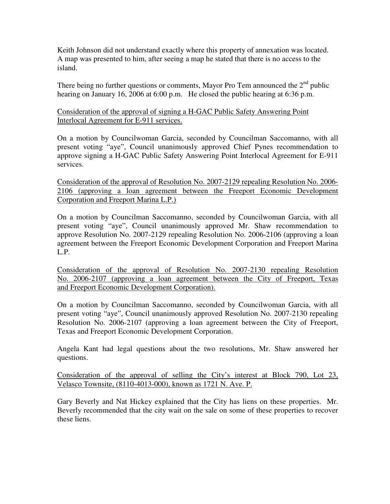Keith Johnson did not understand exactly where this property of annexation was located. A map was presented to him, after seeing a map he stated that there is no access to the island.

There being no further questions or comments, Mayor Pro Tem announced the  $2<sup>nd</sup>$  public hearing on January 16, 2006 at 6:00 p.m. He closed the public hearing at 6:36 p.m.

Consideration of the approval of signing a H-GAC Public Safety Answering Point Interlocal Agreement for E-911 services.

On a motion by Councilwoman Garcia, seconded by Councilman Saccomanno, with all present voting "aye", Council unanimously approved Chief Pynes recommendation to approve signing a H-GAC Public Safety Answering Point Interlocal Agreement for E-911 services.

Consideration of the approval of Resolution No. 2007-2129 repealing Resolution No. 2006- 2106 (approving a loan agreement between the Freeport Economic Development Corporation and Freeport Marina L.P.)

On a motion by Councilman Saccomanno, seconded by Councilwoman Garcia, with all present voting "aye", Council unanimously approved Mr. Shaw recommendation to approve Resolution No. 2007-2129 repealing Resolution No. 2006-2106 (approving a loan agreement between the Freeport Economic Development Corporation and Freeport Marina L.P.

Consideration of the approval of Resolution No. 2007-2130 repealing Resolution No. 2006-2107 (approving a loan agreement between the City of Freeport, Texas and Freeport Economic Development Corporation).

On a motion by Councilman Saccomanno, seconded by Councilwoman Garcia, with all present voting "aye", Council unanimously approved Resolution No. 2007-2130 repealing Resolution No. 2006-2107 (approving a loan agreement between the City of Freeport, Texas and Freeport Economic Development Corporation.

Angela Kant had legal questions about the two resolutions, Mr. Shaw answered her questions.

Consideration of the approval of selling the City's interest at Block 790, Lot 23, Velasco Townsite, (8110-4013-000), known as 1721 N. Ave. P.

Gary Beverly and Nat Hickey explained that the City has liens on these properties. Mr. Beverly recommended that the city wait on the sale on some of these properties to recover these liens.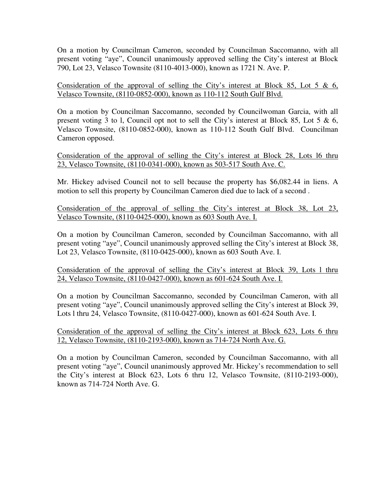On a motion by Councilman Cameron, seconded by Councilman Saccomanno, with all present voting "aye", Council unanimously approved selling the City's interest at Block 790, Lot 23, Velasco Townsite (8110-4013-000), known as 1721 N. Ave. P.

Consideration of the approval of selling the City's interest at Block 85, Lot 5  $\&$  6, Velasco Townsite, (8110-0852-000), known as 110-112 South Gulf Blvd.

On a motion by Councilman Saccomanno, seconded by Councilwoman Garcia, with all present voting 3 to l, Council opt not to sell the City's interest at Block 85, Lot 5 & 6, Velasco Townsite, (8110-0852-000), known as 110-112 South Gulf Blvd. Councilman Cameron opposed.

Consideration of the approval of selling the City's interest at Block 28, Lots l6 thru 23, Velasco Townsite, (8110-0341-000), known as 503-517 South Ave. C.

Mr. Hickey advised Council not to sell because the property has \$6,082.44 in liens. A motion to sell this property by Councilman Cameron died due to lack of a second .

Consideration of the approval of selling the City's interest at Block 38, Lot 23, Velasco Townsite, (8110-0425-000), known as 603 South Ave. I.

On a motion by Councilman Cameron, seconded by Councilman Saccomanno, with all present voting "aye", Council unanimously approved selling the City's interest at Block 38, Lot 23, Velasco Townsite, (8110-0425-000), known as 603 South Ave. I.

Consideration of the approval of selling the City's interest at Block 39, Lots l thru 24, Velasco Townsite, (8110-0427-000), known as 601-624 South Ave. I.

On a motion by Councilman Saccomanno, seconded by Councilman Cameron, with all present voting "aye", Council unanimously approved selling the City's interest at Block 39, Lots l thru 24, Velasco Townsite, (8110-0427-000), known as 601-624 South Ave. I.

Consideration of the approval of selling the City's interest at Block 623, Lots 6 thru 12, Velasco Townsite, (8110-2193-000), known as 714-724 North Ave. G.

On a motion by Councilman Cameron, seconded by Councilman Saccomanno, with all present voting "aye", Council unanimously approved Mr. Hickey's recommendation to sell the City's interest at Block 623, Lots 6 thru 12, Velasco Townsite, (8110-2193-000), known as 714-724 North Ave. G.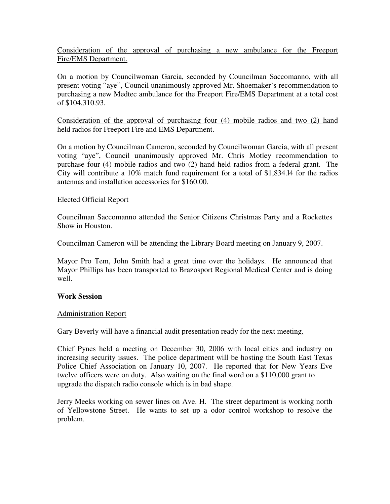Consideration of the approval of purchasing a new ambulance for the Freeport Fire/EMS Department.

On a motion by Councilwoman Garcia, seconded by Councilman Saccomanno, with all present voting "aye", Council unanimously approved Mr. Shoemaker's recommendation to purchasing a new Medtec ambulance for the Freeport Fire/EMS Department at a total cost of \$104,310.93.

#### Consideration of the approval of purchasing four (4) mobile radios and two (2) hand held radios for Freeport Fire and EMS Department.

On a motion by Councilman Cameron, seconded by Councilwoman Garcia, with all present voting "aye", Council unanimously approved Mr. Chris Motley recommendation to purchase four (4) mobile radios and two (2) hand held radios from a federal grant. The City will contribute a 10% match fund requirement for a total of \$1,834.l4 for the radios antennas and installation accessories for \$160.00.

### Elected Official Report

Councilman Saccomanno attended the Senior Citizens Christmas Party and a Rockettes Show in Houston.

Councilman Cameron will be attending the Library Board meeting on January 9, 2007.

Mayor Pro Tem, John Smith had a great time over the holidays. He announced that Mayor Phillips has been transported to Brazosport Regional Medical Center and is doing well.

### **Work Session**

### Administration Report

Gary Beverly will have a financial audit presentation ready for the next meeting.

Chief Pynes held a meeting on December 30, 2006 with local cities and industry on increasing security issues. The police department will be hosting the South East Texas Police Chief Association on January 10, 2007. He reported that for New Years Eve twelve officers were on duty. Also waiting on the final word on a \$110,000 grant to upgrade the dispatch radio console which is in bad shape.

Jerry Meeks working on sewer lines on Ave. H. The street department is working north of Yellowstone Street. He wants to set up a odor control workshop to resolve the problem.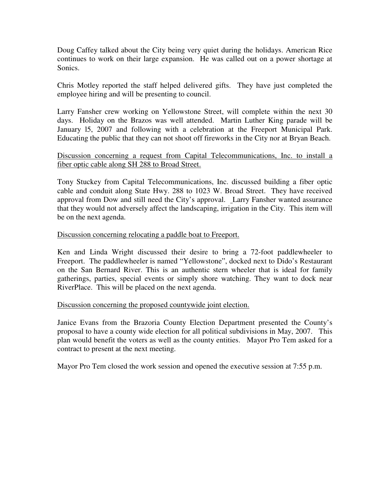Doug Caffey talked about the City being very quiet during the holidays. American Rice continues to work on their large expansion. He was called out on a power shortage at Sonics.

Chris Motley reported the staff helped delivered gifts. They have just completed the employee hiring and will be presenting to council.

Larry Fansher crew working on Yellowstone Street, will complete within the next 30 days. Holiday on the Brazos was well attended. Martin Luther King parade will be January l5, 2007 and following with a celebration at the Freeport Municipal Park. Educating the public that they can not shoot off fireworks in the City nor at Bryan Beach.

# Discussion concerning a request from Capital Telecommunications, Inc. to install a fiber optic cable along SH 288 to Broad Street.

Tony Stuckey from Capital Telecommunications, Inc. discussed building a fiber optic cable and conduit along State Hwy. 288 to 1023 W. Broad Street. They have received approval from Dow and still need the City's approval. Larry Fansher wanted assurance that they would not adversely affect the landscaping, irrigation in the City. This item will be on the next agenda.

### Discussion concerning relocating a paddle boat to Freeport.

Ken and Linda Wright discussed their desire to bring a 72-foot paddlewheeler to Freeport. The paddlewheeler is named "Yellowstone", docked next to Dido's Restaurant on the San Bernard River. This is an authentic stern wheeler that is ideal for family gatherings, parties, special events or simply shore watching. They want to dock near RiverPlace. This will be placed on the next agenda.

### Discussion concerning the proposed countywide joint election.

Janice Evans from the Brazoria County Election Department presented the County's proposal to have a county wide election for all political subdivisions in May, 2007. This plan would benefit the voters as well as the county entities. Mayor Pro Tem asked for a contract to present at the next meeting.

Mayor Pro Tem closed the work session and opened the executive session at 7:55 p.m.